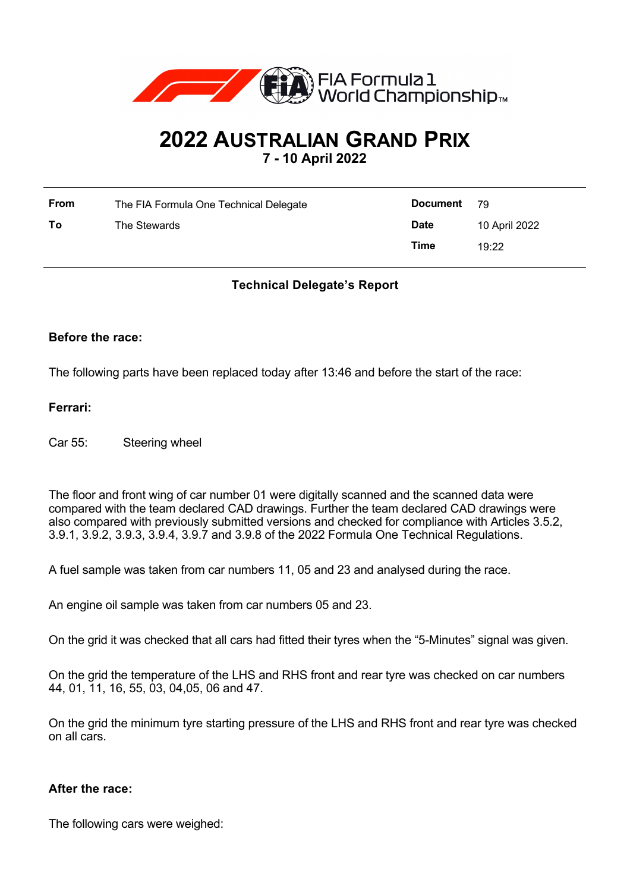

# **2022 AUSTRALIAN GRAND PRIX**

**7 - 10 April 2022**

| <b>From</b> | The FIA Formula One Technical Delegate | <b>Document</b> 79 |               |
|-------------|----------------------------------------|--------------------|---------------|
| To          | The Stewards                           | <b>Date</b>        | 10 April 2022 |
|             |                                        | Time               | 19:22         |

## **Technical Delegate's Report**

#### **Before the race:**

The following parts have been replaced today after 13:46 and before the start of the race:

#### **Ferrari:**

Car 55: Steering wheel

The floor and front wing of car number 01 were digitally scanned and the scanned data were compared with the team declared CAD drawings. Further the team declared CAD drawings were also compared with previously submitted versions and checked for compliance with Articles 3.5.2, 3.9.1, 3.9.2, 3.9.3, 3.9.4, 3.9.7 and 3.9.8 of the 2022 Formula One Technical Regulations.

A fuel sample was taken from car numbers 11, 05 and 23 and analysed during the race.

An engine oil sample was taken from car numbers 05 and 23.

On the grid it was checked that all cars had fitted their tyres when the "5-Minutes" signal was given.

On the grid the temperature of the LHS and RHS front and rear tyre was checked on car numbers 44, 01, 11, 16, 55, 03, 04,05, 06 and 47.

On the grid the minimum tyre starting pressure of the LHS and RHS front and rear tyre was checked on all cars.

#### **After the race:**

The following cars were weighed: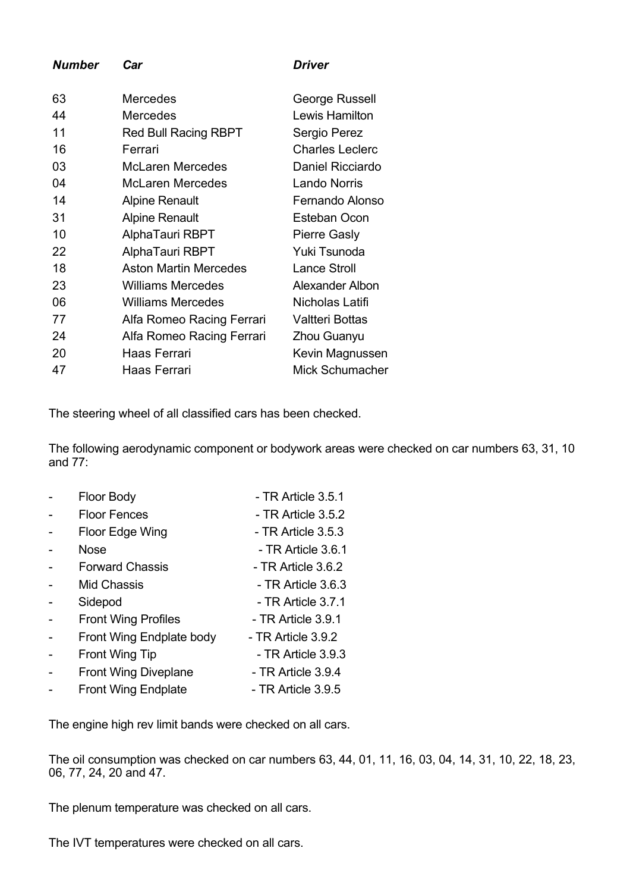*Number Car Driver* 63 Mercedes George Russell 44 Mercedes Lewis Hamilton 11 Red Bull Racing RBPT Sergio Perez 16 Ferrari Charles Leclerc 03 McLaren Mercedes Daniel Ricciardo 04 McLaren Mercedes Lando Norris 14 Alpine Renault **Fernando Alonso** 31 Alpine Renault Esteban Ocon 10 AlphaTauri RBPT Pierre Gasly 22 AlphaTauri RBPT Yuki Tsunoda 18 **Aston Martin Mercedes** Lance Stroll 23 Williams Mercedes Alexander Albon

24 Alfa Romeo Racing Ferrari Zhou Guanyu 20 Haas Ferrari Kevin Magnussen 47 Haas Ferrari Mick Schumacher

The steering wheel of all classified cars has been checked.

06 Williams Mercedes Nicholas Latifi 77 Alfa Romeo Racing Ferrari Valtteri Bottas

The following aerodynamic component or bodywork areas were checked on car numbers 63, 31, 10 and 77:

| Floor Body                  | - TR Article 3.5.1 |
|-----------------------------|--------------------|
| <b>Floor Fences</b>         | - TR Article 3.5.2 |
| Floor Edge Wing             | - TR Article 3.5.3 |
| Nose                        | - TR Article 3.6.1 |
| <b>Forward Chassis</b>      | - TR Article 3.6.2 |
| <b>Mid Chassis</b>          | - TR Article 3.6.3 |
| Sidepod                     | - TR Article 3.7.1 |
| <b>Front Wing Profiles</b>  | - TR Article 3.9.1 |
| Front Wing Endplate body    | - TR Article 3.9.2 |
| <b>Front Wing Tip</b>       | - TR Article 3.9.3 |
| <b>Front Wing Diveplane</b> | - TR Article 3.9.4 |
| <b>Front Wing Endplate</b>  | - TR Article 3.9.5 |

The engine high rev limit bands were checked on all cars.

The oil consumption was checked on car numbers 63, 44, 01, 11, 16, 03, 04, 14, 31, 10, 22, 18, 23, 06, 77, 24, 20 and 47.

The plenum temperature was checked on all cars.

The IVT temperatures were checked on all cars.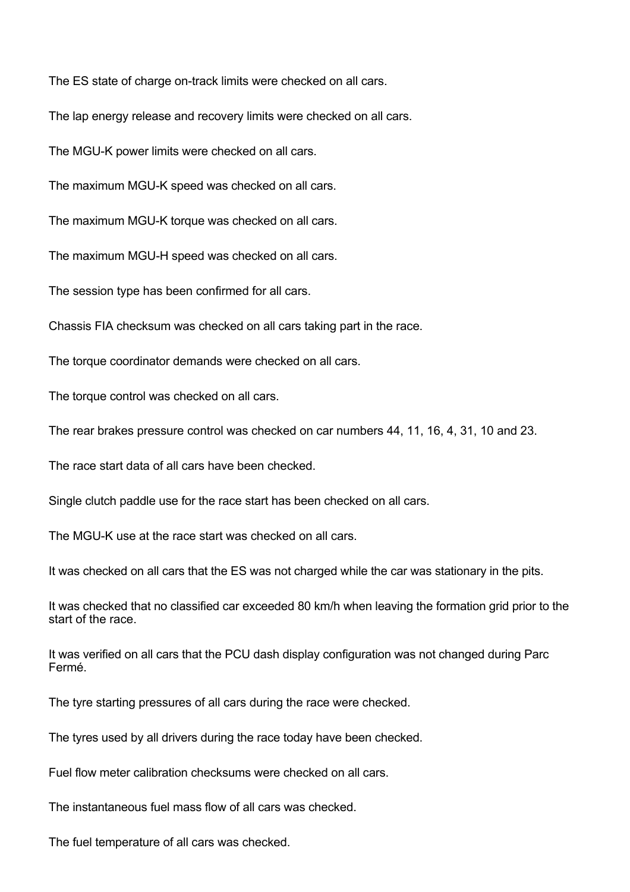The ES state of charge on-track limits were checked on all cars.

The lap energy release and recovery limits were checked on all cars.

The MGU-K power limits were checked on all cars.

The maximum MGU-K speed was checked on all cars.

The maximum MGU-K torque was checked on all cars.

The maximum MGU-H speed was checked on all cars.

The session type has been confirmed for all cars.

Chassis FIA checksum was checked on all cars taking part in the race.

The torque coordinator demands were checked on all cars.

The torque control was checked on all cars.

The rear brakes pressure control was checked on car numbers 44, 11, 16, 4, 31, 10 and 23.

The race start data of all cars have been checked.

Single clutch paddle use for the race start has been checked on all cars.

The MGU-K use at the race start was checked on all cars.

It was checked on all cars that the ES was not charged while the car was stationary in the pits.

It was checked that no classified car exceeded 80 km/h when leaving the formation grid prior to the start of the race.

It was verified on all cars that the PCU dash display configuration was not changed during Parc Fermé.

The tyre starting pressures of all cars during the race were checked.

The tyres used by all drivers during the race today have been checked.

Fuel flow meter calibration checksums were checked on all cars.

The instantaneous fuel mass flow of all cars was checked.

The fuel temperature of all cars was checked.